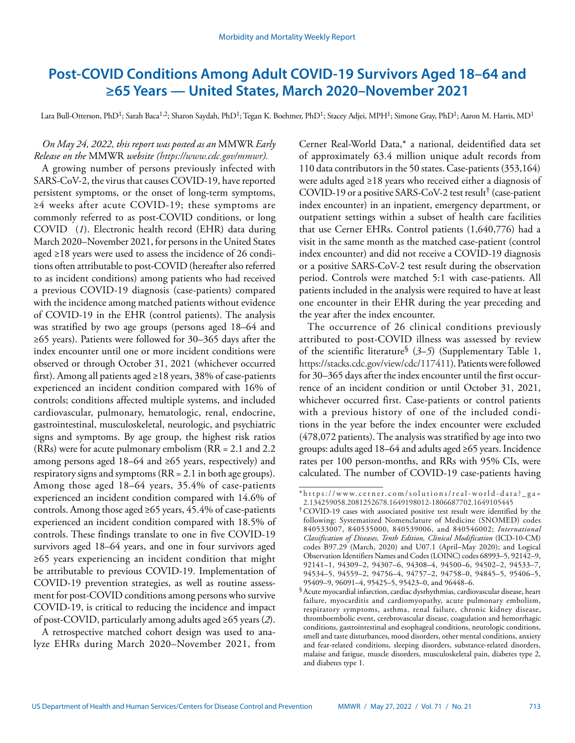# **Post-COVID Conditions Among Adult COVID-19 Survivors Aged 18–64 and ≥65 Years — United States, March 2020–November 2021**

Lara Bull-Otterson, PhD<sup>1</sup>; Sarah Baca<sup>1,2</sup>; Sharon Saydah, PhD<sup>1</sup>; Tegan K. Boehmer, PhD<sup>1</sup>; Stacey Adjei, MPH<sup>1</sup>; Simone Gray, PhD<sup>1</sup>; Aaron M. Harris, MD<sup>1</sup>

# *On May 24, 2022, this report was posted as an* MMWR *Early Release on the* MMWR *website ([https://www.cdc.gov/mmwr\)](https://www.cdc.gov/mmwr).*

A growing number of persons previously infected with SARS-CoV-2, the virus that causes COVID-19, have reported persistent symptoms, or the onset of long-term symptoms, ≥4 weeks after acute COVID-19; these symptoms are commonly referred to as post-COVID conditions, or long COVID (*1*). Electronic health record (EHR) data during March 2020–November 2021, for persons in the United States aged ≥18 years were used to assess the incidence of 26 conditions often attributable to post-COVID (hereafter also referred to as incident conditions) among patients who had received a previous COVID-19 diagnosis (case-patients) compared with the incidence among matched patients without evidence of COVID-19 in the EHR (control patients). The analysis was stratified by two age groups (persons aged 18–64 and ≥65 years). Patients were followed for 30–365 days after the index encounter until one or more incident conditions were observed or through October 31, 2021 (whichever occurred first). Among all patients aged ≥18 years, 38% of case-patients experienced an incident condition compared with 16% of controls; conditions affected multiple systems, and included cardiovascular, pulmonary, hematologic, renal, endocrine, gastrointestinal, musculoskeletal, neurologic, and psychiatric signs and symptoms. By age group, the highest risk ratios (RRs) were for acute pulmonary embolism (RR = 2.1 and 2.2 among persons aged 18–64 and  $\geq 65$  years, respectively) and respiratory signs and symptoms (RR = 2.1 in both age groups). Among those aged 18–64 years, 35.4% of case-patients experienced an incident condition compared with 14.6% of controls. Among those aged ≥65 years, 45.4% of case-patients experienced an incident condition compared with 18.5% of controls. These findings translate to one in five COVID-19 survivors aged 18–64 years, and one in four survivors aged ≥65 years experiencing an incident condition that might be attributable to previous COVID-19. Implementation of COVID-19 prevention strategies, as well as routine assessment for post-COVID conditions among persons who survive COVID-19, is critical to reducing the incidence and impact of post-COVID, particularly among adults aged ≥65 years (*2*).

A retrospective matched cohort design was used to analyze EHRs during March 2020–November 2021, from Cerner Real-World Data,\* a national, deidentified data set of approximately 63.4 million unique adult records from 110 data contributors in the 50 states. Case-patients (353,164) were adults aged ≥18 years who received either a diagnosis of COVID-19 or a positive SARS-CoV-2 test result† (case-patient index encounter) in an inpatient, emergency department, or outpatient settings within a subset of health care facilities that use Cerner EHRs. Control patients (1,640,776) had a visit in the same month as the matched case-patient (control index encounter) and did not receive a COVID-19 diagnosis or a positive SARS-CoV-2 test result during the observation period. Controls were matched 5:1 with case-patients. All patients included in the analysis were required to have at least one encounter in their EHR during the year preceding and the year after the index encounter.

The occurrence of 26 clinical conditions previously attributed to post-COVID illness was assessed by review of the scientific literature§ (*3*–*5*) (Supplementary Table 1, [https://stacks.cdc.gov/view/cdc/117411\)](https://stacks.cdc.gov/view/cdc/117411). Patients were followed for 30–365 days after the index encounter until the first occurrence of an incident condition or until October 31, 2021, whichever occurred first. Case-patients or control patients with a previous history of one of the included conditions in the year before the index encounter were excluded (478,072 patients). The analysis was stratified by age into two groups: adults aged 18–64 and adults aged ≥65 years. Incidence rates per 100 person-months, and RRs with 95% CIs, were calculated. The number of COVID-19 case-patients having

<sup>\*</sup> [https://www.cerner.com/solutions/real-world-data?\\_ga=](https://www.cerner.com/solutions/real-world-data?_ga=2.134259058.2081252678.1649198012-1806687702.1649105445) [2.134259058.2081252678.1649198012-1806687702.1649105445](https://www.cerner.com/solutions/real-world-data?_ga=2.134259058.2081252678.1649198012-1806687702.1649105445)

<sup>†</sup>COVID-19 cases with associated positive test result were identified by the following: Systematized Nomenclature of Medicine (SNOMED) codes 840533007, 840535000, 840539006, and 840546002; *International Classification of Diseases, Tenth Edition, Clinical Modification* (ICD-10-CM) codes B97.29 (March, 2020) and U07.1 (April–May 2020); and Logical Observation Identifiers Names and Codes (LOINC) codes 68993–5, 92142–9, 92141–1, 94309–2, 94307–6, 94308–4, 94500–6, 94502–2, 94533–7, 94534–5, 94559–2, 94756–4, 94757–2, 94758–0, 94845–5, 95406–5, 95409–9, 96091–4, 95425–5, 95423–0, and 96448–6.

<sup>§</sup>Acute myocardial infarction, cardiac dysrhythmias, cardiovascular disease, heart failure, myocarditis and cardiomyopathy, acute pulmonary embolism, respiratory symptoms, asthma, renal failure, chronic kidney disease, thromboembolic event, cerebrovascular disease, coagulation and hemorrhagic conditions, gastrointestinal and esophageal conditions, neurologic conditions, smell and taste disturbances, mood disorders, other mental conditions, anxiety and fear-related conditions, sleeping disorders, substance-related disorders, malaise and fatigue, muscle disorders, musculoskeletal pain, diabetes type 2, and diabetes type 1.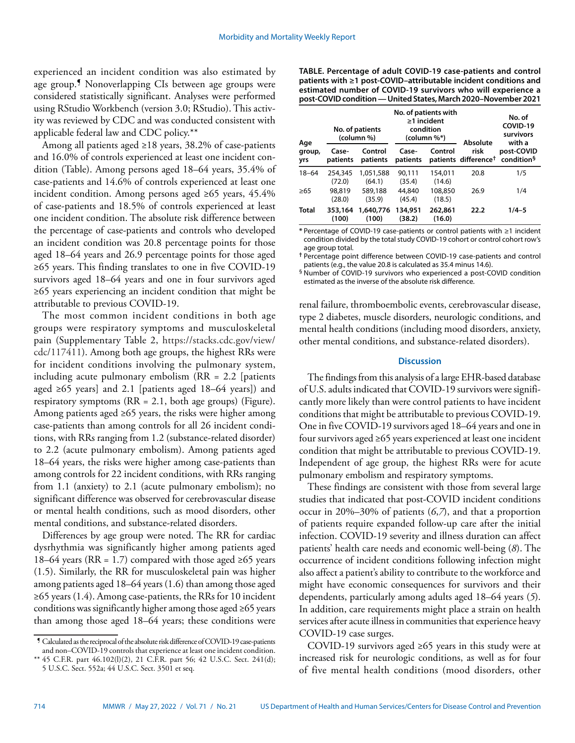experienced an incident condition was also estimated by age group.¶ Nonoverlapping CIs between age groups were considered statistically significant. Analyses were performed using RStudio Workbench (version 3.0; RStudio). This activity was reviewed by CDC and was conducted consistent with applicable federal law and CDC policy.\*\*

Among all patients aged  $\geq$ 18 years, 38.2% of case-patients and 16.0% of controls experienced at least one incident condition (Table). Among persons aged 18–64 years, 35.4% of case-patients and 14.6% of controls experienced at least one incident condition. Among persons aged ≥65 years, 45.4% of case-patients and 18.5% of controls experienced at least one incident condition. The absolute risk difference between the percentage of case-patients and controls who developed an incident condition was 20.8 percentage points for those aged 18–64 years and 26.9 percentage points for those aged ≥65 years. This finding translates to one in five COVID-19 survivors aged 18–64 years and one in four survivors aged ≥65 years experiencing an incident condition that might be attributable to previous COVID-19.

The most common incident conditions in both age groups were respiratory symptoms and musculoskeletal pain (Supplementary Table 2, [https://stacks.cdc.gov/view/](https://stacks.cdc.gov/view/cdc/117411) [cdc/117411\)](https://stacks.cdc.gov/view/cdc/117411). Among both age groups, the highest RRs were for incident conditions involving the pulmonary system, including acute pulmonary embolism (RR = 2.2 [patients aged ≥65 years] and 2.1 [patients aged 18–64 years]) and respiratory symptoms (RR = 2.1, both age groups) (Figure). Among patients aged ≥65 years, the risks were higher among case-patients than among controls for all 26 incident conditions, with RRs ranging from 1.2 (substance-related disorder) to 2.2 (acute pulmonary embolism). Among patients aged 18–64 years, the risks were higher among case-patients than among controls for 22 incident conditions, with RRs ranging from 1.1 (anxiety) to 2.1 (acute pulmonary embolism); no significant difference was observed for cerebrovascular disease or mental health conditions, such as mood disorders, other mental conditions, and substance-related disorders.

Differences by age group were noted. The RR for cardiac dysrhythmia was significantly higher among patients aged 18–64 years (RR = 1.7) compared with those aged ≥65 years (1.5). Similarly, the RR for musculoskeletal pain was higher among patients aged 18–64 years (1.6) than among those aged ≥65 years (1.4). Among case-patients, the RRs for 10 incident conditions was significantly higher among those aged ≥65 years than among those aged 18–64 years; these conditions were **TABLE. Percentage of adult COVID-19 case-patients and control patients with ≥1 post-COVID–attributable incident conditions and estimated number of COVID-19 survivors who will experience a post-COVID condition — United States, March 2020–November 2021**

| Age<br>group,<br>yrs | No. of patients<br>(column %) |                     | No. of patients with<br>$\geq$ 1 incident<br>condition<br>(column %*) |                   | Absolute                                 | No. of<br>COVID-19<br>survivors<br>with a |
|----------------------|-------------------------------|---------------------|-----------------------------------------------------------------------|-------------------|------------------------------------------|-------------------------------------------|
|                      | Case-<br>patients             | Control<br>patients | Case-<br>patients                                                     | Control           | risk<br>patients difference <sup>†</sup> | post-COVID<br>condition <sup>§</sup>      |
| $18 - 64$            | 254,345<br>(72.0)             | 1,051,588<br>(64.1) | 90.111<br>(35.4)                                                      | 154,011<br>(14.6) | 20.8                                     | 1/5                                       |
| >65                  | 98,819<br>(28.0)              | 589,188<br>(35.9)   | 44,840<br>(45.4)                                                      | 108,850<br>(18.5) | 26.9                                     | 1/4                                       |
| <b>Total</b>         | 353,164<br>(100)              | 1,640,776<br>(100)  | 134,951<br>(38.2)                                                     | 262,861<br>(16.0) | 22.2                                     | $1/4 - 5$                                 |

**\*** Percentage of COVID-19 case-patients or control patients with ≥1 incident condition divided by the total study COVID-19 cohort or control cohort row's age group total.

**†** Percentage point difference between COVID-19 case-patients and control patients (e.g., the value 20.8 is calculated as 35.4 minus 14.6).

§ Number of COVID-19 survivors who experienced a post-COVID condition estimated as the inverse of the absolute risk difference.

renal failure, thromboembolic events, cerebrovascular disease, type 2 diabetes, muscle disorders, neurologic conditions, and mental health conditions (including mood disorders, anxiety, other mental conditions, and substance-related disorders).

### **Discussion**

The findings from this analysis of a large EHR-based database of U.S. adults indicated that COVID-19 survivors were significantly more likely than were control patients to have incident conditions that might be attributable to previous COVID-19. One in five COVID-19 survivors aged 18–64 years and one in four survivors aged ≥65 years experienced at least one incident condition that might be attributable to previous COVID-19. Independent of age group, the highest RRs were for acute pulmonary embolism and respiratory symptoms.

These findings are consistent with those from several large studies that indicated that post-COVID incident conditions occur in 20%–30% of patients (*6*,*7*), and that a proportion of patients require expanded follow-up care after the initial infection. COVID-19 severity and illness duration can affect patients' health care needs and economic well-being (*8*). The occurrence of incident conditions following infection might also affect a patient's ability to contribute to the workforce and might have economic consequences for survivors and their dependents, particularly among adults aged 18–64 years (*5*). In addition, care requirements might place a strain on health services after acute illness in communities that experience heavy COVID-19 case surges.

COVID-19 survivors aged ≥65 years in this study were at increased risk for neurologic conditions, as well as for four of five mental health conditions (mood disorders, other

<sup>¶</sup> Calculated as the reciprocal of the absolute risk difference of COVID-19 case-patients and non–COVID-19 controls that experience at least one incident condition.

<sup>\*\*</sup> 45 C.F.R. part 46.102(l)(2), 21 C.F.R. part 56; 42 U.S.C. Sect. 241(d);

<sup>5</sup> U.S.C. Sect. 552a; 44 U.S.C. Sect. 3501 et seq.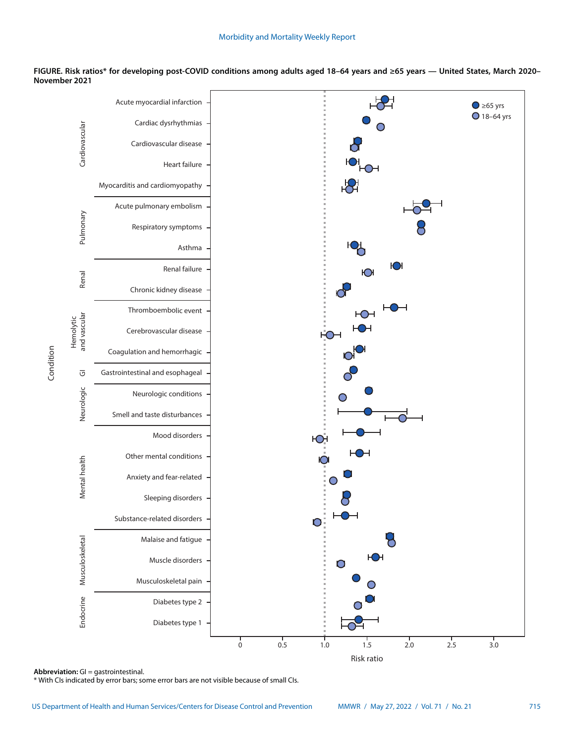



**Abbreviation:** GI = gastrointestinal.

Condition

\* With CIs indicated by error bars; some error bars are not visible because of small CIs.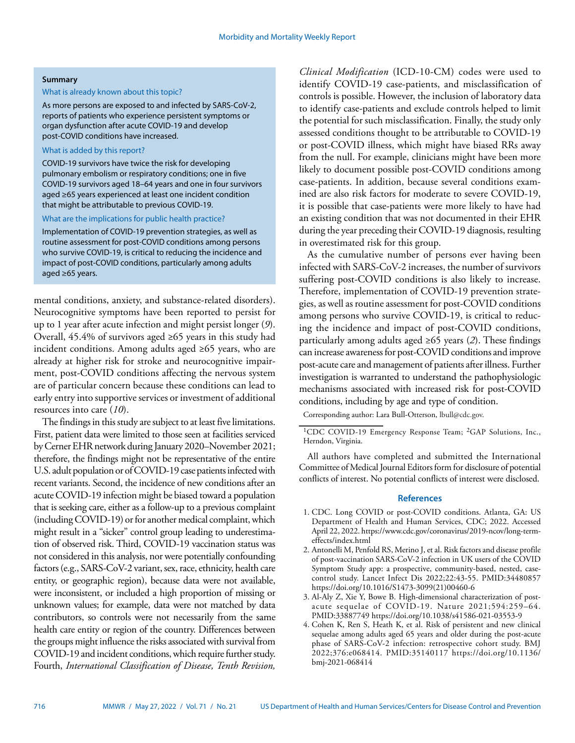#### **Summary**

#### What is already known about this topic?

As more persons are exposed to and infected by SARS-CoV-2, reports of patients who experience persistent symptoms or organ dysfunction after acute COVID-19 and develop post-COVID conditions have increased.

## What is added by this report?

COVID-19 survivors have twice the risk for developing pulmonary embolism or respiratory conditions; one in five COVID-19 survivors aged 18–64 years and one in four survivors aged ≥65 years experienced at least one incident condition that might be attributable to previous COVID-19.

#### What are the implications for public health practice?

Implementation of COVID-19 prevention strategies, as well as routine assessment for post-COVID conditions among persons who survive COVID-19, is critical to reducing the incidence and impact of post-COVID conditions, particularly among adults aged ≥65 years.

mental conditions, anxiety, and substance-related disorders). Neurocognitive symptoms have been reported to persist for up to 1 year after acute infection and might persist longer (*9*). Overall, 45.4% of survivors aged ≥65 years in this study had incident conditions. Among adults aged ≥65 years, who are already at higher risk for stroke and neurocognitive impairment, post-COVID conditions affecting the nervous system are of particular concern because these conditions can lead to early entry into supportive services or investment of additional resources into care (*10*).

The findings in this study are subject to at least five limitations. First, patient data were limited to those seen at facilities serviced by Cerner EHR network during January 2020–November 2021; therefore, the findings might not be representative of the entire U.S. adult population or of COVID-19 case patients infected with recent variants. Second, the incidence of new conditions after an acute COVID-19 infection might be biased toward a population that is seeking care, either as a follow-up to a previous complaint (including COVID-19) or for another medical complaint, which might result in a "sicker" control group leading to underestimation of observed risk. Third, COVID-19 vaccination status was not considered in this analysis, nor were potentially confounding factors (e.g., SARS-CoV-2 variant, sex, race, ethnicity, health care entity, or geographic region), because data were not available, were inconsistent, or included a high proportion of missing or unknown values; for example, data were not matched by data contributors, so controls were not necessarily from the same health care entity or region of the country. Differences between the groups might influence the risks associated with survival from COVID-19 and incident conditions, which require further study. Fourth, *International Classification of Disease, Tenth Revision,* 

*Clinical Modification* (ICD-10-CM) codes were used to identify COVID-19 case-patients, and misclassification of controls is possible. However, the inclusion of laboratory data to identify case-patients and exclude controls helped to limit the potential for such misclassification. Finally, the study only assessed conditions thought to be attributable to COVID-19 or post-COVID illness, which might have biased RRs away from the null. For example, clinicians might have been more likely to document possible post-COVID conditions among case-patients. In addition, because several conditions examined are also risk factors for moderate to severe COVID-19, it is possible that case-patients were more likely to have had an existing condition that was not documented in their EHR during the year preceding their COVID-19 diagnosis, resulting in overestimated risk for this group.

As the cumulative number of persons ever having been infected with SARS-CoV-2 increases, the number of survivors suffering post-COVID conditions is also likely to increase. Therefore, implementation of COVID-19 prevention strategies, as well as routine assessment for post-COVID conditions among persons who survive COVID-19, is critical to reducing the incidence and impact of post-COVID conditions, particularly among adults aged ≥65 years (*2*). These findings can increase awareness for post-COVID conditions and improve post-acute care and management of patients after illness. Further investigation is warranted to understand the pathophysiologic mechanisms associated with increased risk for post-COVID conditions, including by age and type of condition.

Corresponding author: Lara Bull-Otterson, [lbull@cdc.gov.](mailto:lbull@cdc.gov)

All authors have completed and submitted the International Committee of Medical Journal Editors form for disclosure of potential conflicts of interest. No potential conflicts of interest were disclosed.

#### **References**

- 1. CDC. Long COVID or post-COVID conditions. Atlanta, GA: US Department of Health and Human Services, CDC; 2022. Accessed April 22, 2022. [https://www.cdc.gov/coronavirus/2019-ncov/long-term](https://www.cdc.gov/coronavirus/2019-ncov/long-term-effects/index.html)[effects/index.html](https://www.cdc.gov/coronavirus/2019-ncov/long-term-effects/index.html)
- 2. Antonelli M, Penfold RS, Merino J, et al. Risk factors and disease profile of post-vaccination SARS-CoV-2 infection in UK users of the COVID Symptom Study app: a prospective, community-based, nested, casecontrol study. Lancet Infect Dis 2022;22:43-55. [PMID:34480857](https://pubmed.ncbi.nlm.nih.gov/34480857/) [https://doi.org/10.1016/S1473-3099\(21\)00460-6](https://doi.org/10.1016/S1473-3099(21)00460-6)
- 3. Al-Aly Z, Xie Y, Bowe B. High-dimensional characterization of postacute sequelae of COVID-19. Nature 2021;594:259–64. [PMID:33887749](https://www.ncbi.nlm.nih.gov/entrez/query.fcgi?cmd=Retrieve&db=PubMed&list_uids=33887749&dopt=Abstract) <https://doi.org/10.1038/s41586-021-03553-9>
- 4. Cohen K, Ren S, Heath K, et al. Risk of persistent and new clinical sequelae among adults aged 65 years and older during the post-acute phase of SARS-CoV-2 infection: retrospective cohort study. BMJ 2022;376:e068414[. PMID:35140117](https://www.ncbi.nlm.nih.gov/entrez/query.fcgi?cmd=Retrieve&db=PubMed&list_uids=35140117&dopt=Abstract) [https://doi.org/10.1136/](https://doi.org/10.1136/bmj-2021-068414) [bmj-2021-068414](https://doi.org/10.1136/bmj-2021-068414)

<sup>&</sup>lt;sup>1</sup>CDC COVID-19 Emergency Response Team; <sup>2</sup>GAP Solutions, Inc., Herndon, Virginia.